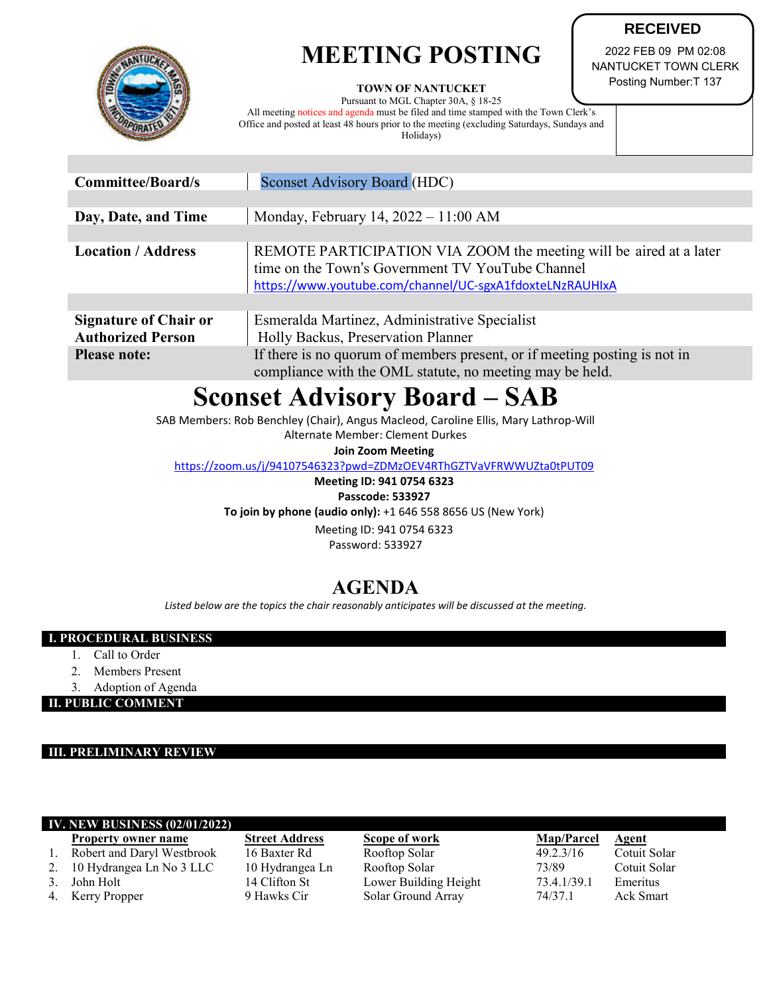## **MEETING POSTING**



**TOWN OF NANTUCKET**

Pursuant to MGL Chapter 30A, § 18-25 All meeting notices and agenda must be filed and time stamped with the Town Clerk's Office and posted at least 48 hours prior to the meeting (excluding Saturdays, Sundays and Holidays)

2022 FEB 09 PM 02:08 NANTUCKET TOWN CLERK Posting Number:T 137

**RECEIVED**

| <b>Committee/Board/s</b>                                 | <b>Sconset Advisory Board (HDC)</b>                                                                                                                                                |  |  |  |
|----------------------------------------------------------|------------------------------------------------------------------------------------------------------------------------------------------------------------------------------------|--|--|--|
|                                                          |                                                                                                                                                                                    |  |  |  |
| Day, Date, and Time                                      | Monday, February 14, $2022 - 11:00$ AM                                                                                                                                             |  |  |  |
|                                                          |                                                                                                                                                                                    |  |  |  |
| <b>Location / Address</b>                                | REMOTE PARTICIPATION VIA ZOOM the meeting will be aired at a later<br>time on the Town's Government TV YouTube Channel<br>https://www.youtube.com/channel/UC-sgxA1fdoxteLNzRAUHIxA |  |  |  |
|                                                          |                                                                                                                                                                                    |  |  |  |
| <b>Signature of Chair or</b><br><b>Authorized Person</b> | Esmeralda Martinez, Administrative Specialist<br>Holly Backus, Preservation Planner                                                                                                |  |  |  |
| <b>Please note:</b>                                      | If there is no quorum of members present, or if meeting posting is not in<br>compliance with the OML statute, no meeting may be held.                                              |  |  |  |

# **Sconset Advisory Board – SAB**

SAB Members: Rob Benchley (Chair), Angus Macleod, Caroline Ellis, Mary Lathrop-Will

Alternate Member: Clement Durkes

**Join Zoom Meeting**

<https://zoom.us/j/94107546323?pwd=ZDMzOEV4RThGZTVaVFRWWUZta0tPUT09>

**Meeting ID: 941 0754 6323 Passcode: 533927**

**To join by phone (audio only):** +1 646 558 8656 US (New York)

Meeting ID: 941 0754 6323 Password: 533927

### **AGENDA**

*Listed below are the topics the chair reasonably anticipates will be discussed at the meeting.*

#### **I. PROCEDURAL BUSINESS**

- 1. Call to Order
- 2. Members Present
- 3. Adoption of Agenda

**II. PUBLIC COMMENT**

#### **III. PRELIMINARY REVIEW**

#### **IV. NEW BUSINESS (02/01/2022)**

- 
- 
- 
- 

**Property owner name Street Address Scope of work Map/Parcel Agent** 1. Robert and Daryl Westbrook 16 Baxter Rd Rooftop Solar 49.2.3/16 Cotuit Solar 2. 10 Hydrangea Ln No 3 LLC 10 Hydrangea Ln Rooftop Solar 73/89 Cotuit Solar 3. John Holt 14 Clifton St Lower Building Height 73.4.1/39.1 Emeritus 4. Kerry Propper 9 Hawks Cir Solar Ground Array 74/37.1 Ack Smart